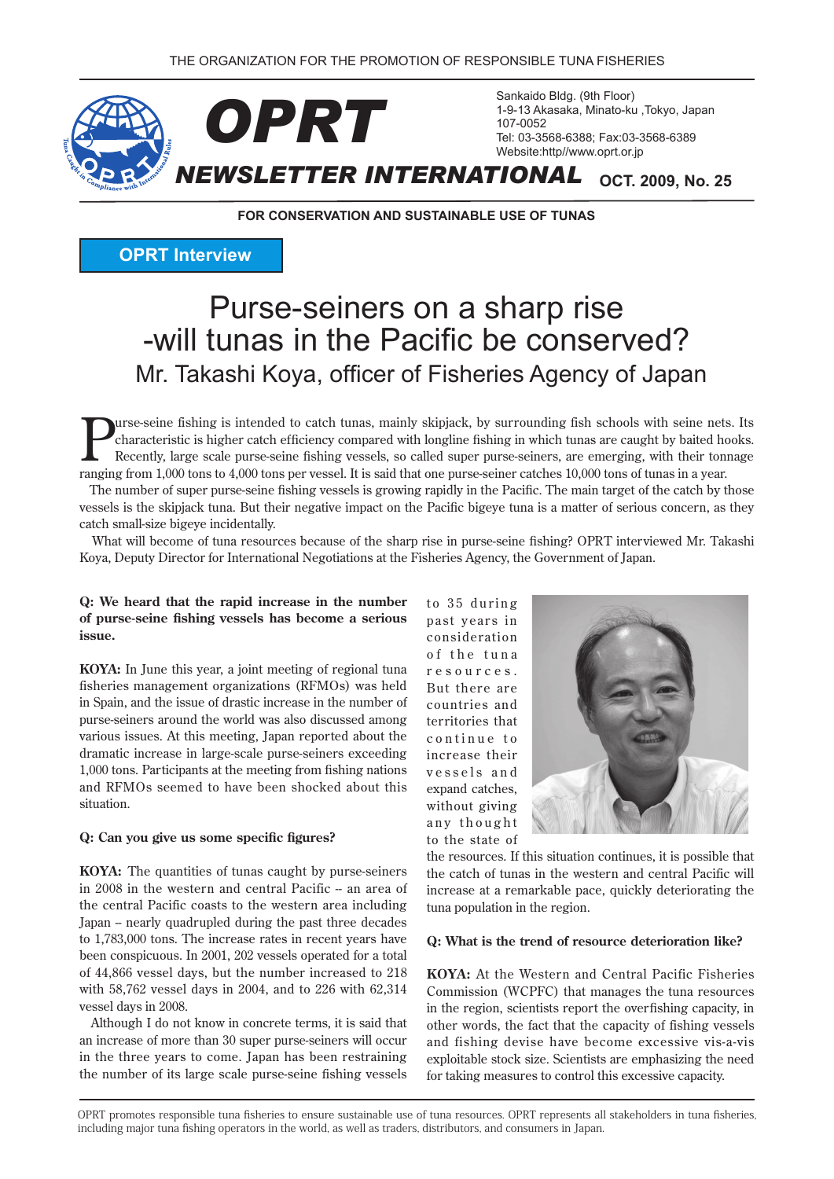

Sankaido Bldg. (9th Floor) 1-9-13 Akasaka, Minato-ku, Tokyo, Japan 107-0052 Tel: 03-3568-6388; Fax: 03-3568-6389 Website:http//www.oprt.or.jp

**NEWSLETTER INTERNATIONAL** OCT. 2009, No. 25

**FOR CONSERVATION AND SUSTAINABLE USE OF TUNAS** 

**OPRT** Interview

# Purse-seiners on a sharp rise -will tunas in the Pacific be conserved? Mr. Takashi Koya, officer of Fisheries Agency of Japan

The urse-seine fishing is intended to catch tunas, mainly skipjack, by surrounding fish schools with seine nets. Its characteristic is higher catch efficiency compared with longline fishing in which tunas are caught by bai characteristic is higher catch efficiency compared with longline fishing in which tunas are caught by baited hooks. Recently, large scale purse-seine fishing vessels, so called super purse-seiners, are emerging, with their tonnage ranging from 1,000 tons to 4,000 tons per vessel. It is said that one purse-seiner catches 10,000 tons of tunas in a year.

The number of super purse-seine fishing vessels is growing rapidly in the Pacific. The main target of the catch by those vessels is the skipjack tuna. But their negative impact on the Pacific bigeye tuna is a matter of serious concern, as they catch small-size bigeye incidentally.

What will become of tuna resources because of the sharp rise in purse-seine fishing? OPRT interviewed Mr. Takashi Koya, Deputy Director for International Negotiations at the Fisheries Agency, the Government of Japan.

#### **Q:** We heard that the rapid increase in the number of purse-seine fishing vessels has become a serious **.issue**

KOYA: In June this year, a joint meeting of regional tuna fisheries management organizations (RFMOs) was held in Spain, and the issue of drastic increase in the number of purse-seiners around the world was also discussed among various issues. At this meeting, Japan reported about the dramatic increase in large-scale purse-seiners exceeding  $1,000$  tons. Participants at the meeting from fishing nations and RFMOs seemed to have been shocked about this .situation

#### **Q:** Can you give us some specific figures?

**KOYA:** The quantities of tunas caught by purse-seiners in 2008 in the western and central Pacific -- an area of the central Pacific coasts to the western area including Japan – nearly quadrupled during the past three decades to 1,783,000 tons. The increase rates in recent years have been conspicuous. In 2001, 202 vessels operated for a total of 44,866 vessel days, but the number increased to 218 with  $58,762$  vessel days in 2004, and to 226 with  $62,314$ vessel days in 2008.

Although I do not know in concrete terms, it is said that an increase of more than 30 super purse-seiners will occur in the three vears to come. Japan has been restraining the number of its large scale purse-seine fishing vessels to 35 during past years in consideration  $of the tuna$ r e s o u r c e s. But there are countries and territories that continue to increase their vessels and expand catches, without giving any thought to the state of



the resources. If this situation continues, it is possible that the catch of tunas in the western and central Pacific will increase at a remarkable pace, quickly deteriorating the tuna population in the region.

#### **Q:** What is the trend of resource deterioration like?

**KOYA:** At the Western and Central Pacific Fisheries Commission (WCPFC) that manages the tuna resources in the region, scientists report the overfishing capacity, in other words, the fact that the capacity of fishing vessels and fishing devise have become excessive vis-a-vis exploitable stock size. Scientists are emphasizing the need for taking measures to control this excessive capacity.

OPRT promotes responsible tuna fisheries to ensure sustainable use of tuna resources. OPRT represents all stakeholders in tuna fisheries. including major tuna fishing operators in the world, as well as traders, distributors, and consumers in Japan.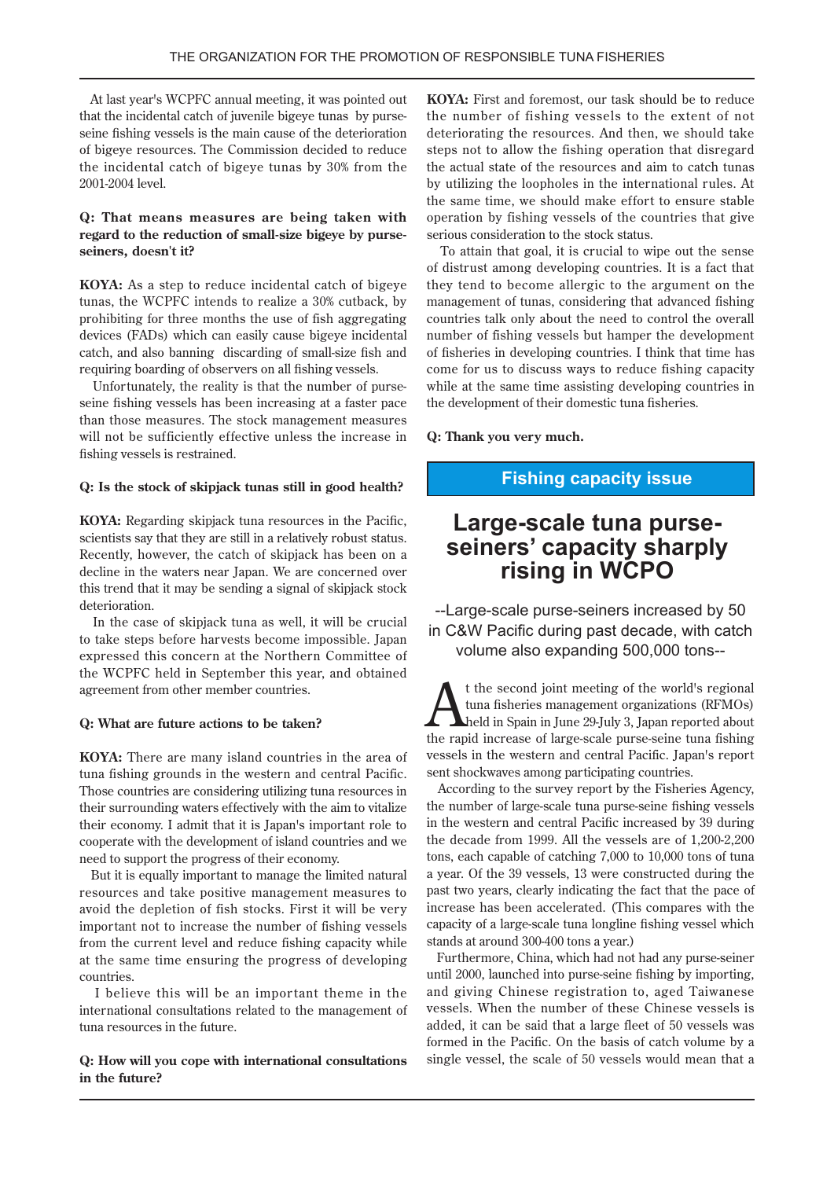At last year's WCPFC annual meeting, it was pointed out seine fishing vessels is the main cause of the deterioration that the incidental catch of juvenile bigeye tunas by purseof bigeye resources. The Commission decided to reduce the incidental catch of bigeye tunas by  $30\%$  from the 2001-2004 level.

## **Q:** That means measures are being taken with regard to the reduction of small-size bigeye by purse-<br>seiners, doesn't it?

**KOYA**: As a step to reduce incidental catch of bigeye tunas, the WCPFC intends to realize a 30% cutback, by prohibiting for three months the use of fish aggregating devices (FADs) which can easily cause bigeye incidental catch, and also banning discarding of small-size fish and requiring boarding of observers on all fishing vessels.

seine fishing vessels has been increasing at a faster pace Unfortunately, the reality is that the number of pursethan those measures. The stock management measures will not be sufficiently effective unless the increase in fishing vessels is restrained.

#### **Q:** Is the stock of skipjack tunas still in good health?

KOYA: Regarding skipjack tuna resources in the Pacific, scientists say that they are still in a relatively robust status. Recently, however, the catch of skipjack has been on a decline in the waters near Japan. We are concerned over this trend that it may be sending a signal of skipjack stock deterioration.

In the case of skipjack tuna as well, it will be crucial to take steps before harvests become impossible. Japan expressed this concern at the Northern Committee of the WCPFC held in September this year, and obtained agreement from other member countries.

#### **Q:** What are future actions to be taken?

KOYA: There are many island countries in the area of tuna fishing grounds in the western and central Pacific. Those countries are considering utilizing tuna resources in their surrounding waters effectively with the aim to vitalize their economy. I admit that it is Japan's important role to cooperate with the development of island countries and we need to support the progress of their economy.

But it is equally important to manage the limited natural resources and take positive management measures to avoid the depletion of fish stocks. First it will be very important not to increase the number of fishing vessels from the current level and reduce fishing capacity while at the same time ensuring the progress of developing .countries

I believe this will be an important theme in the international consultations related to the management of tuna resources in the future

**Q:** How will you cope with international consultations in the future?

KOYA: First and foremost, our task should be to reduce the number of fishing vessels to the extent of not deteriorating the resources. And then, we should take steps not to allow the fishing operation that disregard the actual state of the resources and aim to catch tunas by utilizing the loopholes in the international rules. At the same time, we should make effort to ensure stable operation by fishing vessels of the countries that give serious consideration to the stock status.

To attain that goal, it is crucial to wipe out the sense of distrust among developing countries. It is a fact that they tend to become allergic to the argument on the management of tunas, considering that advanced fishing countries talk only about the need to control the overall number of fishing vessels but hamper the development of fisheries in developing countries. I think that time has come for us to discuss ways to reduce fishing capacity while at the same time assisting developing countries in the development of their domestic tuna fisheries.

**Q:** Thank you very much.

### **Fishing capacity issue**

# seiners' capacity sharply **Large-scale tuna purserising in WCPO**

--Large-scale purse-seiners increased by 50 in C&W Pacific during past decade, with catch volume also expanding 500,000 tons--

t the second joint meeting of the world's regional tuna fisheries management organizations (RFMOs) held in Spain in June 29-July 3, Japan reported about the rapid increase of large-scale purse-seine tuna fishing vessels in the western and central Pacific. Japan's report sent shockwaves among participating countries.

According to the survey report by the Fisheries Agency, the number of large-scale tuna purse-seine fishing vessels in the western and central Pacific increased by 39 during the decade from 1999. All the vessels are of  $1,200-2,200$ tons, each capable of catching  $7,000$  to  $10,000$  tons of tuna a year. Of the 39 vessels, 13 were constructed during the past two years, clearly indicating the fact that the pace of increase has been accelerated. (This compares with the capacity of a large-scale tuna longline fishing vessel which stands at around 300-400 tons a year.)

Furthermore, China, which had not had any purse-seiner until 2000, launched into purse-seine fishing by importing. and giving Chinese registration to, aged Taiwanese vessels. When the number of these Chinese vessels is added, it can be said that a large fleet of 50 vessels was formed in the Pacific. On the basis of catch volume by a single vessel, the scale of 50 vessels would mean that a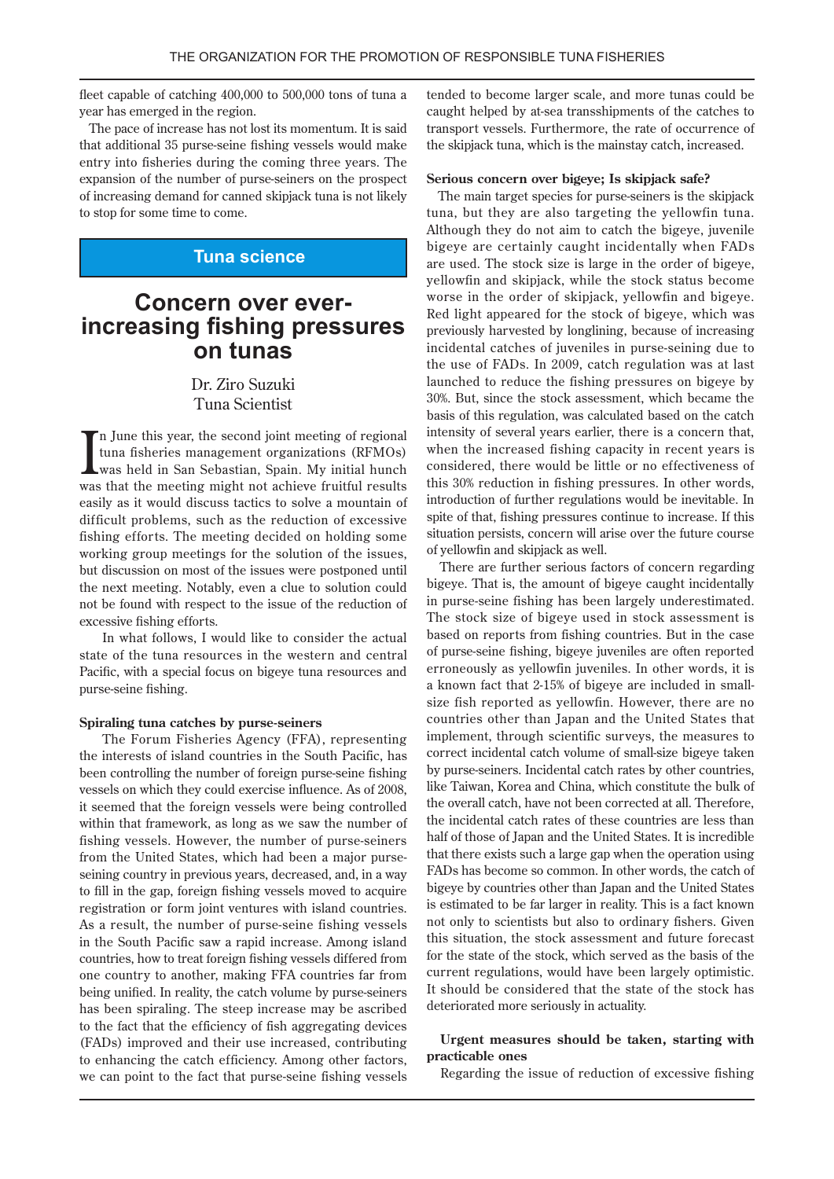fleet capable of catching  $400,000$  to  $500,000$  tons of tuna a year has emerged in the region.

The pace of increase has not lost its momentum. It is said that additional 35 purse-seine fishing vessels would make entry into fisheries during the coming three years. The expansion of the number of purse-seiners on the prospect of increasing demand for canned skipjack tuna is not likely to stop for some time to come.

## **Tuna** science

## **increasing fishing pressures Concern over evertunas on**

### Dr. Ziro Suzuki Tuna Scientist

In June this year, the second joint meeting of regional<br>tuna fisheries management organizations (RFMOs)<br>was held in San Sebastian, Spain. My initial hunch In June this year, the second joint meeting of regional tuna fisheries management organizations (RFMOs) was that the meeting might not achieve fruitful results easily as it would discuss tactics to solve a mountain of difficult problems, such as the reduction of excessive fishing efforts. The meeting decided on holding some working group meetings for the solution of the issues. but discussion on most of the issues were postponed until the next meeting. Notably, even a clue to solution could not be found with respect to the issue of the reduction of excessive fishing efforts.

In what follows, I would like to consider the actual state of the tuna resources in the western and central Pacific, with a special focus on bigeye tuna resources and purse-seine fishing.

#### **Spiraling tuna catches by purse-seiners**

The Forum Fisheries Agency (FFA), representing the interests of island countries in the South Pacific, has been controlling the number of foreign purse-seine fishing vessels on which they could exercise influence. As of 2008, it seemed that the foreign vessels were being controlled within that framework, as long as we saw the number of fishing vessels. However, the number of purse-seiners seining country in previous years, decreased, and, in a way from the United States, which had been a major purseto fill in the gap, foreign fishing vessels moved to acquire registration or form joint ventures with island countries. As a result, the number of purse-seine fishing vessels in the South Pacific saw a rapid increase. Among island countries, how to treat foreign fishing vessels differed from one country to another, making FFA countries far from being unified. In reality, the catch volume by purse-seiners has been spiraling. The steep increase may be ascribed to the fact that the efficiency of fish aggregating devices (FADs) improved and their use increased, contributing to enhancing the catch efficiency. Among other factors, we can point to the fact that purse-seine fishing vessels tended to become larger scale, and more tunas could be caught helped by at-sea transshipments of the catches to transport vessels. Furthermore, the rate of occurrence of the skipjack tuna, which is the mainstay catch, increased.

#### Serious concern over bigeye; Is skipjack safe?

The main target species for purse-seiners is the skipjack tuna, but they are also targeting the yellowfin tuna. Although they do not aim to catch the bigeye, juvenile bigeye are certainly caught incidentally when FADs are used. The stock size is large in the order of bigeye, yellowfin and skipjack, while the stock status become worse in the order of skipjack, yellowfin and bigeye. Red light appeared for the stock of bigeye, which was previously harvested by longlining, because of increasing incidental catches of juveniles in purse-seining due to the use of FADs. In 2009, catch regulation was at last launched to reduce the fishing pressures on bigeye by 30%. But, since the stock assessment, which became the basis of this regulation, was calculated based on the catch intensity of several years earlier, there is a concern that, when the increased fishing capacity in recent years is considered, there would be little or no effectiveness of this 30% reduction in fishing pressures. In other words, introduction of further regulations would be inevitable. In spite of that, fishing pressures continue to increase. If this situation persists, concern will arise over the future course of yellowfin and skipjack as well.

There are further serious factors of concern regarding bigeye. That is, the amount of bigeye caught incidentally in purse-seine fishing has been largely underestimated. The stock size of bigeye used in stock assessment is based on reports from fishing countries. But in the case of purse-seine fishing, bigeye juveniles are often reported erroneously as yellowfin juveniles. In other words, it is size fish reported as yellowfin. However, there are no a known fact that 2-15% of bigeye are included in smallcountries other than Japan and the United States that implement, through scientific surveys, the measures to correct incidental catch volume of small-size bigeye taken by purse-seiners. Incidental catch rates by other countries, like Taiwan, Korea and China, which constitute the bulk of the overall catch, have not been corrected at all. Therefore, the incidental catch rates of these countries are less than half of those of Japan and the United States. It is incredible that there exists such a large gap when the operation using FADs has become so common. In other words, the catch of bigeye by countries other than Japan and the United States is estimated to be far larger in reality. This is a fact known not only to scientists but also to ordinary fishers. Given this situation, the stock assessment and future forecast for the state of the stock, which served as the basis of the current regulations, would have been largely optimistic. It should be considered that the state of the stock has deteriorated more seriously in actuality.

#### Urgent measures should be taken, starting with **ones practicable**

Regarding the issue of reduction of excessive fishing